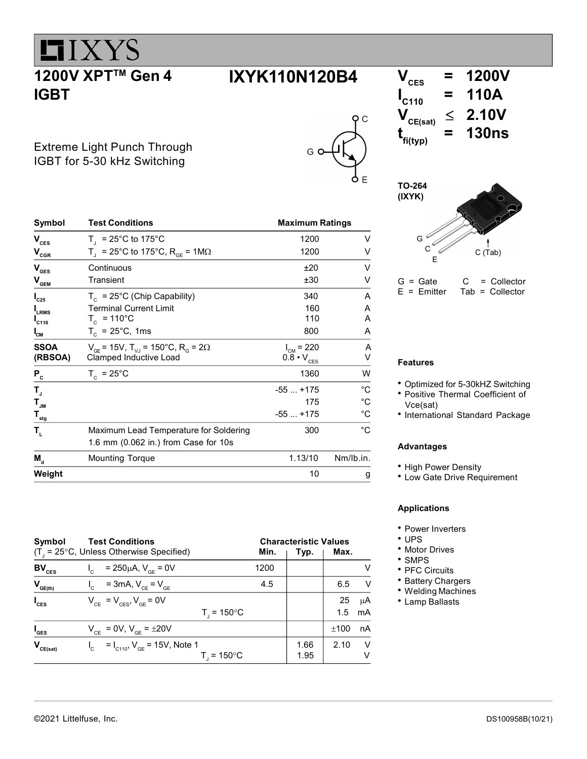# $LIXYZ$ 1200V XPT<sup>™</sup> Gen 4 IGBT

 $\mathsf{C}$ 

Extreme Light Punch Through IGBT for 5-30 kHz Switching

| Symbol                                  | <b>Test Conditions</b>                                               | <b>Maximum Ratings</b>     |              |  |
|-----------------------------------------|----------------------------------------------------------------------|----------------------------|--------------|--|
| $\mathbf{V}_{\text{CES}}$               | $T_1 = 25^{\circ}$ C to 175°C                                        | 1200                       | V            |  |
| $\mathsf{V}_{\textsf{cgr}}$             | T <sub>1</sub> = 25°C to 175°C, R <sub>GF</sub> = 1M $\Omega$        | 1200                       | V            |  |
| $\mathbf{V}_{\texttt{GES}}$             | Continuous                                                           | ±20                        | V            |  |
| $\mathbf{V}_{\mathbf{GEM}}$             | Transient                                                            | ±30                        | V            |  |
| $I_{C25}$                               | $T_c$ = 25°C (Chip Capability)                                       | 340                        | A            |  |
| <b>I</b> LRMS                           | <b>Terminal Current Limit</b>                                        | 160                        | A            |  |
| $I_{C110}$                              | $T_c$ = 110°C                                                        | 110                        | A            |  |
| $I_{CM}$                                | $T_c = 25^{\circ}C$ , 1ms                                            | 800                        | A            |  |
| <b>SSOA</b>                             | $V_{CF}$ = 15V, T <sub>VI</sub> = 150°C, R <sub>G</sub> = 2 $\Omega$ | $I_{CM} = 220$             | A            |  |
| (RBSOA)                                 | Clamped Inductive Load                                               | $0.8 \cdot V_{\text{CES}}$ | V            |  |
| $P_c$                                   | $T_c = 25^{\circ}$ C                                                 | 1360                       | W            |  |
| Т,                                      |                                                                      | $-55+175$                  | °C           |  |
| $\mathsf{T}_{\mathsf{JM}}$              |                                                                      | 175                        | $^{\circ}C$  |  |
| $\mathbf{T}_{\underline{\mathbf{stg}}}$ |                                                                      | $-55+175$                  | $^{\circ}$ C |  |
| $\mathbf{T}_{\mathrm{L}}$               | Maximum Lead Temperature for Soldering                               | 300                        | °C.          |  |
|                                         | 1.6 mm (0.062 in.) from Case for 10s                                 |                            |              |  |
| $M_{d}$                                 | <b>Mounting Torque</b>                                               | 1.13/10                    | Nm/lb.in.    |  |
| Weight                                  |                                                                      | 10                         | g            |  |

| Symbol           | <b>Test Conditions</b><br>$(T1 = 25°C, Unless Otherwise Specifically)$ | Min. | <b>Characteristic Values</b><br>Typ. | Max.      |          |
|------------------|------------------------------------------------------------------------|------|--------------------------------------|-----------|----------|
| $BV_{CES}$       | = 250µA, $V_{CF}$ = 0V                                                 | 1200 |                                      |           | V        |
| $V_{GE(th)}$     | $V_{\text{c}} = 3 \text{mA}, V_{\text{c}} = V_{\text{c}}$              | 4.5  |                                      | 6.5       | V        |
| $I_{\text{ces}}$ | $V_{CF}$ = $V_{CF}$ , $V_{GF}$ = 0V<br>$T_{1}$ = 150 $^{\circ}$ C      |      |                                      | 25<br>1.5 | μA<br>mA |
| $I_{\text{GES}}$ | $V_{CE} = 0V$ , $V_{GE} = \pm 20V$                                     |      |                                      | ±100      | nA       |
| $V_{CE(sat)}$    | $I_c = I_{C110}$ , $V_{GE} = 15V$ , Note 1<br>T. = 150°C               |      | 1.66<br>1.95                         | 2.10      | V<br>v   |





 $G =$  Gate  $C =$  Collector<br>E = Emitter Tab = Collector  $Tab = Collector$ 

#### Features

- Optimized for 5-30kHZ Switching
- Positive Thermal Coefficient of Vce(sat)
- International Standard Package

#### Advantages

- High Power Density
- Low Gate Drive Requirement

#### Applications

- Power Inverters
- UPS
- Motor Drives
- SMPS
- PFC Circuits
- Battery Chargers
- Welding Machines
- Lamp Ballasts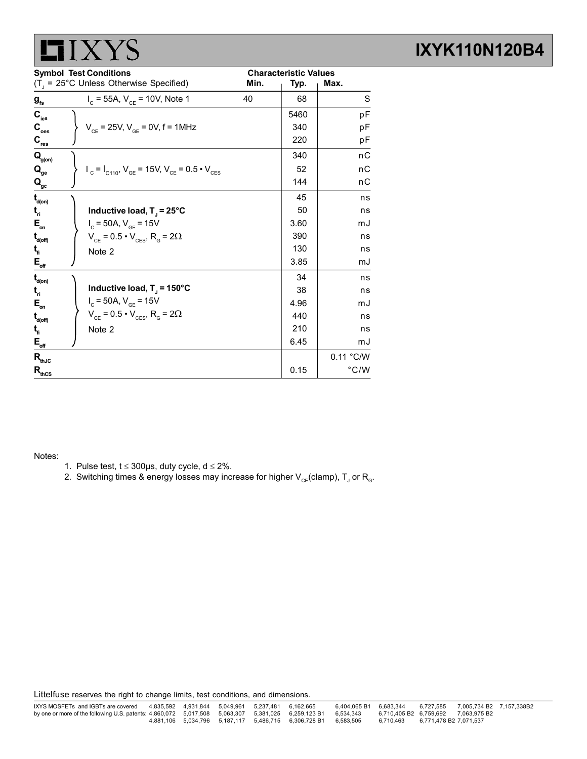| <b>Symbol Test Conditions</b>                  |                                                                                                       | <b>Characteristic Values</b> |      |               |
|------------------------------------------------|-------------------------------------------------------------------------------------------------------|------------------------------|------|---------------|
|                                                | $(T_1 = 25^{\circ}C$ Unless Otherwise Specified)                                                      | Min.                         | Typ. | Max.          |
| $\boldsymbol{g}_{\mathrm{fs}}$                 | $I_c = 55A$ , $V_{CE} = 10V$ , Note 1                                                                 | 40                           | 68   | S             |
| $\mathbf{C}_{\text{ies}}$                      |                                                                                                       |                              | 5460 | pF            |
| $\mathbf{C}_{_{\mathrm{oes}}}$                 | $V_{CF}$ = 25V, $V_{GF}$ = 0V, f = 1MHz                                                               |                              | 340  | pF            |
| $\mathbf{C}_{\underline{\text{res}}}$          |                                                                                                       |                              | 220  | рF            |
| $\mathbf{Q}_{\text{g(on)}}$                    |                                                                                                       |                              | 340  | nC            |
| $\mathbf{Q}_{\mathrm{ge}}$                     | $V_{\text{c}} = I_{\text{C110}}$ , $V_{\text{GE}} = 15V$ , $V_{\text{CE}} = 0.5 \cdot V_{\text{CES}}$ |                              | 52   | nС            |
| $\mathbf{Q}_{\mathrm{gc}}$                     |                                                                                                       |                              | 144  | nС            |
| $\mathbf{t}_{\mathsf{d}(\mathsf{on})}$         |                                                                                                       |                              | 45   | ns            |
| $\mathbf{t}_{\mathbf{n}}$                      | Inductive load, $T_i = 25^{\circ}C$                                                                   |                              | 50   | ns            |
| $E_{\rm on}$                                   | $I_c = 50A, V_{cF} = 15V$                                                                             |                              | 3.60 | mJ            |
| $\mathbf{t}_{\mathsf{d}(\mathsf{off})}$        | $V_{CE}$ = 0.5 $\cdot$ $V_{CES}$ , R <sub>G</sub> = 2 $\Omega$                                        |                              | 390  | ns            |
| t,                                             | Note 2                                                                                                |                              | 130  | ns            |
| $\mathsf{E}_{\scriptscriptstyle{\text{off}}}$  |                                                                                                       |                              | 3.85 | mJ            |
| $\mathbf{t}_{\mathsf{d}(\mathsf{on})}$         |                                                                                                       |                              | 34   | ns            |
| $t_{\rm n}$                                    | Inductive load, $T_{J}$ = 150°C                                                                       |                              | 38   | ns            |
| $\mathsf{E}_{\scriptscriptstyle{\mathsf{on}}}$ | $I_c = 50A, V_{GE} = 15V$                                                                             |                              | 4.96 | mJ            |
| $\mathbf{t}_{\mathsf{d}(\mathsf{off})}$        | $V_{CE}$ = 0.5 $\cdot$ $V_{CES}$ , R <sub>G</sub> = 2 $\Omega$                                        |                              | 440  | ns            |
| $t_{\rm n}$                                    | Note 2                                                                                                |                              | 210  | ns            |
| $E_{\text{off}}$                               |                                                                                                       |                              | 6.45 | mJ            |
| $\mathsf{R}_{\text{thJC}}$                     |                                                                                                       |                              |      | 0.11 °C/W     |
| $R_{\text{thCS}}$                              |                                                                                                       |                              | 0.15 | $\degree$ C/W |

Notes:

- 1. Pulse test,  $t \le 300\mu s$ , duty cycle,  $d \le 2\%$ .
- 2. Switching times & energy losses may increase for higher  $\mathsf{V_{\rm CE}}$ (clamp),  $\mathsf{T_{\rm J}}$  or  $\mathsf{R_{\rm G}}$ .

Littelfuse reserves the right to change limits, test conditions, and dimensions.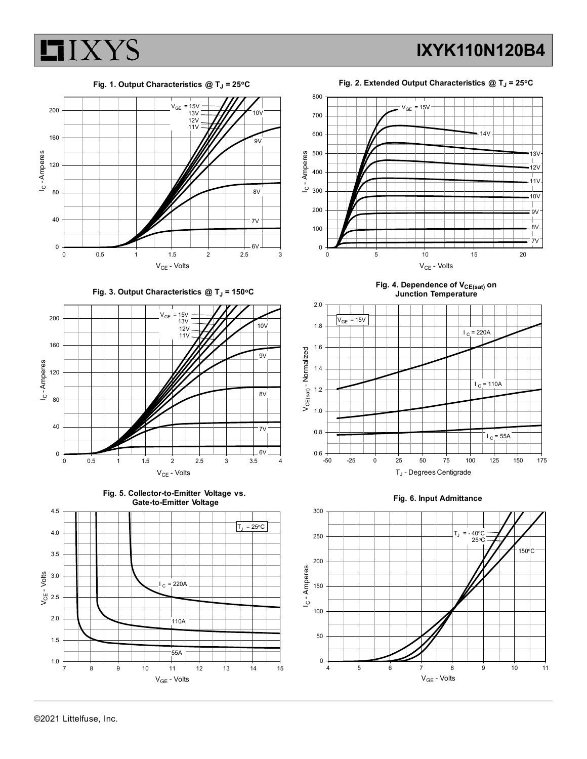

IXYK110N120B4

Fig. 1. Output Characteristics  $@$  T<sub>J</sub> = 25°C





Fig. 3. Output Characteristics  $@T_J = 150°C$ 









Fig. 4. Dependence of V<sub>CE(sat)</sub> on Junction Temperature





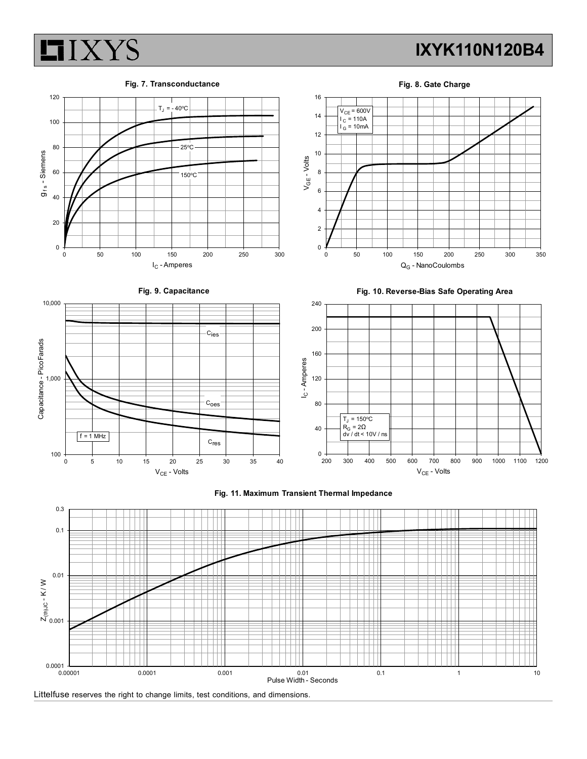

Fig. 7. Transconductance

Fig. 8. Gate Charge





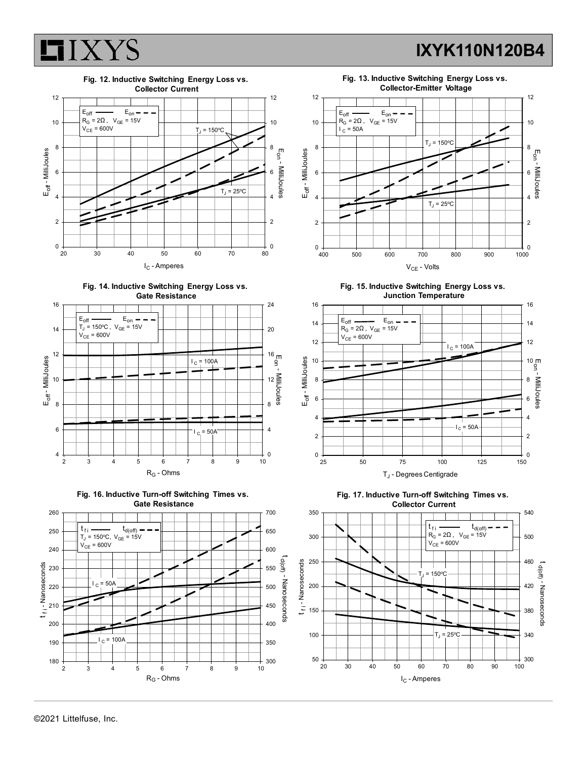













Fig. 15. Inductive Switching Energy Loss vs. Junction Temperature





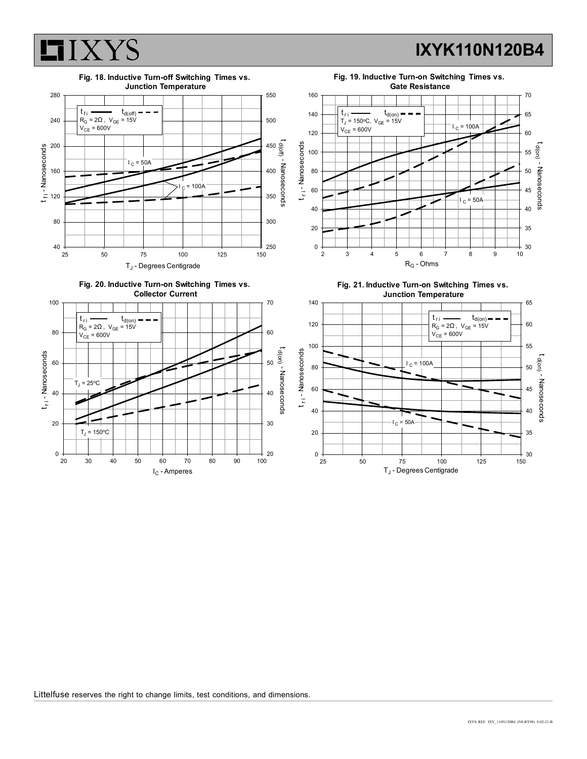Fig. 19. Inductive Turn-on Switching Times vs. Gate Resistance



#### 280<del> - 1 1 1 1 1 1 1 1 1 1 1 1</del> Fig. 18. Inductive Turn-off Switching Times vs. Junction Temperature<br>
1950

Littelfuse reserves the right to change limits, test conditions, and dimensions.